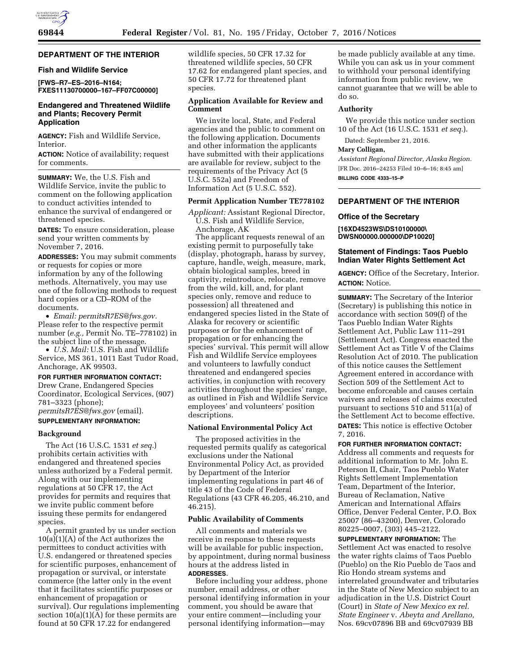

# **DEPARTMENT OF THE INTERIOR**

## **Fish and Wildlife Service**

**[FWS–R7–ES–2016–N164; FXES11130700000–167–FF07C00000]** 

# **Endangered and Threatened Wildlife and Plants; Recovery Permit Application**

**AGENCY:** Fish and Wildlife Service, Interior.

**ACTION:** Notice of availability; request for comments.

**SUMMARY:** We, the U.S. Fish and Wildlife Service, invite the public to comment on the following application to conduct activities intended to enhance the survival of endangered or threatened species.

**DATES:** To ensure consideration, please send your written comments by November 7, 2016.

**ADDRESSES:** You may submit comments or requests for copies or more information by any of the following methods. Alternatively, you may use one of the following methods to request hard copies or a CD–ROM of the documents.

• *Email: [permitsR7ES@fws.gov.](mailto:permitsR7ES@fws.gov)*  Please refer to the respective permit number (*e.g.,* Permit No. TE–778102) in the subject line of the message.

• *U.S. Mail:* U.S. Fish and Wildlife Service, MS 361, 1011 East Tudor Road, Anchorage, AK 99503.

# **FOR FURTHER INFORMATION CONTACT:**

Drew Crane, Endangered Species Coordinator, Ecological Services, (907) 781–3323 (phone); *[permitsR7ES@fws.gov](mailto:permitsR7ES@fws.gov)* (email).

### **SUPPLEMENTARY INFORMATION:**

## **Background**

The Act (16 U.S.C. 1531 *et seq.*) prohibits certain activities with endangered and threatened species unless authorized by a Federal permit. Along with our implementing regulations at 50 CFR 17, the Act provides for permits and requires that we invite public comment before issuing these permits for endangered species.

A permit granted by us under section  $10(a)(1)(A)$  of the Act authorizes the permittees to conduct activities with U.S. endangered or threatened species for scientific purposes, enhancement of propagation or survival, or interstate commerce (the latter only in the event that it facilitates scientific purposes or enhancement of propagation or survival). Our regulations implementing section  $10(a)(1)(A)$  for these permits are found at 50 CFR 17.22 for endangered

wildlife species, 50 CFR 17.32 for threatened wildlife species, 50 CFR 17.62 for endangered plant species, and 50 CFR 17.72 for threatened plant species.

# **Application Available for Review and Comment**

We invite local, State, and Federal agencies and the public to comment on the following application. Documents and other information the applicants have submitted with their applications are available for review, subject to the requirements of the Privacy Act (5 U.S.C. 552a) and Freedom of Information Act (5 U.S.C. 552).

# **Permit Application Number TE778102**

*Applicant:* Assistant Regional Director, U.S. Fish and Wildlife Service, Anchorage, AK

The applicant requests renewal of an existing permit to purposefully take (display, photograph, harass by survey, capture, handle, weigh, measure, mark, obtain biological samples, breed in captivity, reintroduce, relocate, remove from the wild, kill, and, for plant species only, remove and reduce to possession) all threatened and endangered species listed in the State of Alaska for recovery or scientific purposes or for the enhancement of propagation or for enhancing the species' survival. This permit will allow Fish and Wildlife Service employees and volunteers to lawfully conduct threatened and endangered species activities, in conjunction with recovery activities throughout the species' range, as outlined in Fish and Wildlife Service employees' and volunteers' position descriptions.

# **National Environmental Policy Act**

The proposed activities in the requested permits qualify as categorical exclusions under the National Environmental Policy Act, as provided by Department of the Interior implementing regulations in part 46 of title 43 of the Code of Federal Regulations (43 CFR 46.205, 46.210, and 46.215).

## **Public Availability of Comments**

All comments and materials we receive in response to these requests will be available for public inspection, by appointment, during normal business hours at the address listed in **ADDRESSES**.

Before including your address, phone number, email address, or other personal identifying information in your comment, you should be aware that your entire comment—including your personal identifying information—may

be made publicly available at any time. While you can ask us in your comment to withhold your personal identifying information from public review, we cannot guarantee that we will be able to do so.

#### **Authority**

We provide this notice under section 10 of the Act (16 U.S.C. 1531 *et seq.*).

Dated: September 21, 2016.

# **Mary Colligan,**

*Assistant Regional Director, Alaska Region.*  [FR Doc. 2016–24253 Filed 10–6–16; 8:45 am] **BILLING CODE 4333–15–P** 

## **DEPARTMENT OF THE INTERIOR**

#### **Office of the Secretary**

**[16XD4523WS\DS10100000\ DWSN00000.000000\DP10020]** 

# **Statement of Findings: Taos Pueblo Indian Water Rights Settlement Act**

**AGENCY:** Office of the Secretary, Interior. **ACTION:** Notice.

**SUMMARY:** The Secretary of the Interior (Secretary) is publishing this notice in accordance with section 509(f) of the Taos Pueblo Indian Water Rights Settlement Act, Public Law 111–291 (Settlement Act). Congress enacted the Settlement Act as Title V of the Claims Resolution Act of 2010. The publication of this notice causes the Settlement Agreement entered in accordance with Section 509 of the Settlement Act to become enforceable and causes certain waivers and releases of claims executed pursuant to sections 510 and 511(a) of the Settlement Act to become effective. **DATES:** This notice is effective October 7, 2016.

**FOR FURTHER INFORMATION CONTACT:** 

Address all comments and requests for additional information to Mr. John E. Peterson II, Chair, Taos Pueblo Water Rights Settlement Implementation Team, Department of the Interior, Bureau of Reclamation, Native American and International Affairs Office, Denver Federal Center, P.O. Box 25007 (86–43200), Denver, Colorado 80225–0007, (303) 445–2122.

**SUPPLEMENTARY INFORMATION:** The Settlement Act was enacted to resolve the water rights claims of Taos Pueblo (Pueblo) on the Rio Pueblo de Taos and Rio Hondo stream systems and interrelated groundwater and tributaries in the State of New Mexico subject to an adjudication in the U.S. District Court (Court) in *State of New Mexico ex rel. State Engineer* v. *Abeyta and Arellano,*  Nos. 69cv07896 BB and 69cv07939 BB